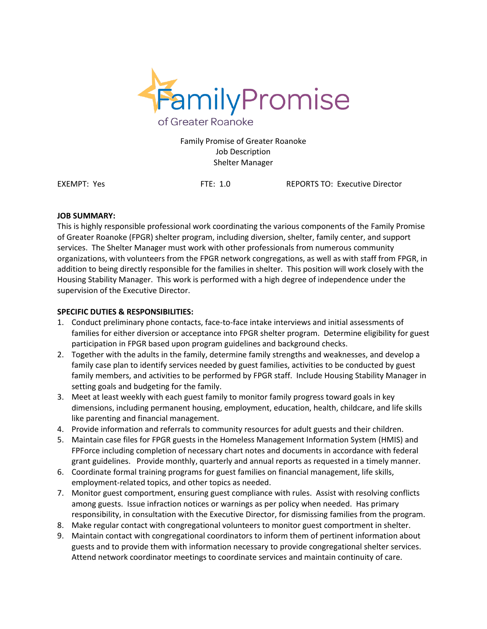

Family Promise of Greater Roanoke Job Description Shelter Manager

EXEMPT: Yes FTE: 1.0 REPORTS TO: Executive Director

## **JOB SUMMARY:**

This is highly responsible professional work coordinating the various components of the Family Promise of Greater Roanoke (FPGR) shelter program, including diversion, shelter, family center, and support services. The Shelter Manager must work with other professionals from numerous community organizations, with volunteers from the FPGR network congregations, as well as with staff from FPGR, in addition to being directly responsible for the families in shelter. This position will work closely with the Housing Stability Manager. This work is performed with a high degree of independence under the supervision of the Executive Director.

## **SPECIFIC DUTIES & RESPONSIBILITIES:**

- 1. Conduct preliminary phone contacts, face-to-face intake interviews and initial assessments of families for either diversion or acceptance into FPGR shelter program. Determine eligibility for guest participation in FPGR based upon program guidelines and background checks.
- 2. Together with the adults in the family, determine family strengths and weaknesses, and develop a family case plan to identify services needed by guest families, activities to be conducted by guest family members, and activities to be performed by FPGR staff. Include Housing Stability Manager in setting goals and budgeting for the family.
- 3. Meet at least weekly with each guest family to monitor family progress toward goals in key dimensions, including permanent housing, employment, education, health, childcare, and life skills like parenting and financial management.
- 4. Provide information and referrals to community resources for adult guests and their children.
- 5. Maintain case files for FPGR guests in the Homeless Management Information System (HMIS) and FPForce including completion of necessary chart notes and documents in accordance with federal grant guidelines. Provide monthly, quarterly and annual reports as requested in a timely manner.
- 6. Coordinate formal training programs for guest families on financial management, life skills, employment-related topics, and other topics as needed.
- 7. Monitor guest comportment, ensuring guest compliance with rules. Assist with resolving conflicts among guests. Issue infraction notices or warnings as per policy when needed. Has primary responsibility, in consultation with the Executive Director, for dismissing families from the program.
- 8. Make regular contact with congregational volunteers to monitor guest comportment in shelter.
- 9. Maintain contact with congregational coordinators to inform them of pertinent information about guests and to provide them with information necessary to provide congregational shelter services. Attend network coordinator meetings to coordinate services and maintain continuity of care.